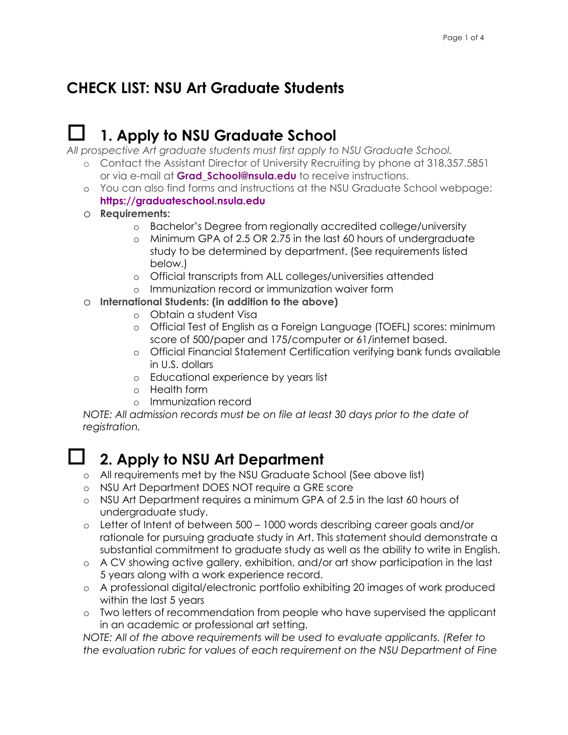#### **CHECK LIST: NSU Art Graduate Students**

## o **1. Apply to NSU Graduate School**

*All prospective Art graduate students must first apply to NSU Graduate School.*

- o Contact the Assistant Director of University Recruiting by phone at 318.357.5851 or via e-mail at **Grad\_School@nsula.edu** to receive instructions.
- o You can also find forms and instructions at the NSU Graduate School webpage: **https://graduateschool.nsula.edu**
- o **Requirements:**
	- o Bachelor's Degree from regionally accredited college/university
	- o Minimum GPA of 2.5 OR 2.75 in the last 60 hours of undergraduate study to be determined by department. (See requirements listed below.)
	- o Official transcripts from ALL colleges/universities attended
	- o Immunization record or immunization waiver form
- o **International Students: (in addition to the above)**
	- o Obtain a student Visa
	- o Official Test of English as a Foreign Language (TOEFL) scores: minimum score of 500/paper and 175/computer or 61/internet based.
	- o Official Financial Statement Certification verifying bank funds available in U.S. dollars
	- o Educational experience by years list
	- o Health form
	- o Immunization record

*NOTE: All admission records must be on file at least 30 days prior to the date of registration.* 

#### o **2. Apply to NSU Art Department**

- o All requirements met by the NSU Graduate School (See above list)
- o NSU Art Department DOES NOT require a GRE score
- o NSU Art Department requires a minimum GPA of 2.5 in the last 60 hours of undergraduate study.
- o Letter of Intent of between 500 1000 words describing career goals and/or rationale for pursuing graduate study in Art. This statement should demonstrate a substantial commitment to graduate study as well as the ability to write in English.
- o A CV showing active gallery, exhibition, and/or art show participation in the last 5 years along with a work experience record.
- o A professional digital/electronic portfolio exhibiting 20 images of work produced within the last 5 years
- o Two letters of recommendation from people who have supervised the applicant in an academic or professional art setting.

*NOTE: All of the above requirements will be used to evaluate applicants. (Refer to the evaluation rubric for values of each requirement on the NSU Department of Fine*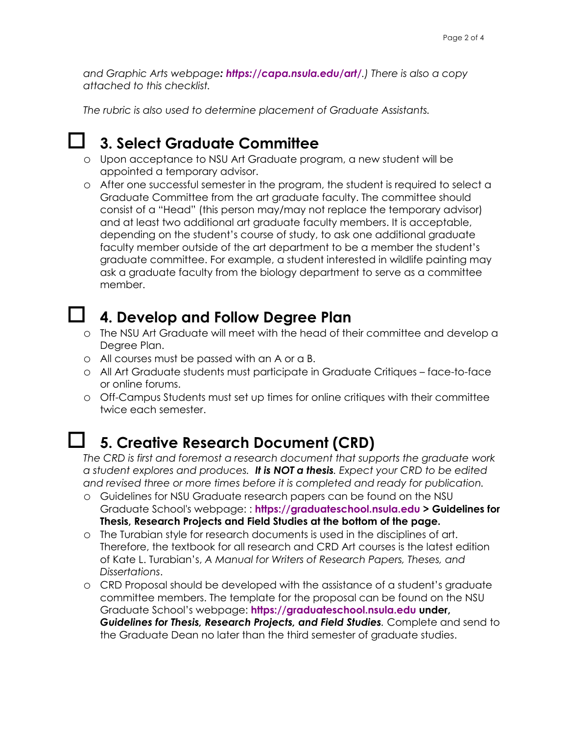*and Graphic Arts webpage: https://capa.nsula.edu/art/.) There is also a copy attached to this checklist.* 

*The rubric is also used to determine placement of Graduate Assistants.*

## o **3. Select Graduate Committee**

- o Upon acceptance to NSU Art Graduate program, a new student will be appointed a temporary advisor.
- o After one successful semester in the program, the student is required to select a Graduate Committee from the art graduate faculty. The committee should consist of a "Head" (this person may/may not replace the temporary advisor) and at least two additional art graduate faculty members. It is acceptable, depending on the student's course of study, to ask one additional graduate faculty member outside of the art department to be a member the student's graduate committee. For example, a student interested in wildlife painting may ask a graduate faculty from the biology department to serve as a committee member.

#### o **4. Develop and Follow Degree Plan**

- o The NSU Art Graduate will meet with the head of their committee and develop a Degree Plan.
- o All courses must be passed with an A or a B.
- o All Art Graduate students must participate in Graduate Critiques face-to-face or online forums.
- o Off-Campus Students must set up times for online critiques with their committee twice each semester.

#### o **5. Creative Research Document (CRD)**

*The CRD is first and foremost a research document that supports the graduate work a student explores and produces. It is NOT a thesis. Expect your CRD to be edited and revised three or more times before it is completed and ready for publication.* 

- o Guidelines for NSU Graduate research papers can be found on the NSU Graduate School's webpage: : **https://graduateschool.nsula.edu > Guidelines for Thesis, Research Projects and Field Studies at the bottom of the page.**
- o The Turabian style for research documents is used in the disciplines of art. Therefore, the textbook for all research and CRD Art courses is the latest edition of Kate L. Turabian's, *A Manual for Writers of Research Papers, Theses, and Dissertations*.
- o CRD Proposal should be developed with the assistance of a student's graduate committee members. The template for the proposal can be found on the NSU Graduate School's webpage: **https://graduateschool.nsula.edu under,**  *Guidelines for Thesis, Research Projects, and Field Studies.* Complete and send to the Graduate Dean no later than the third semester of graduate studies.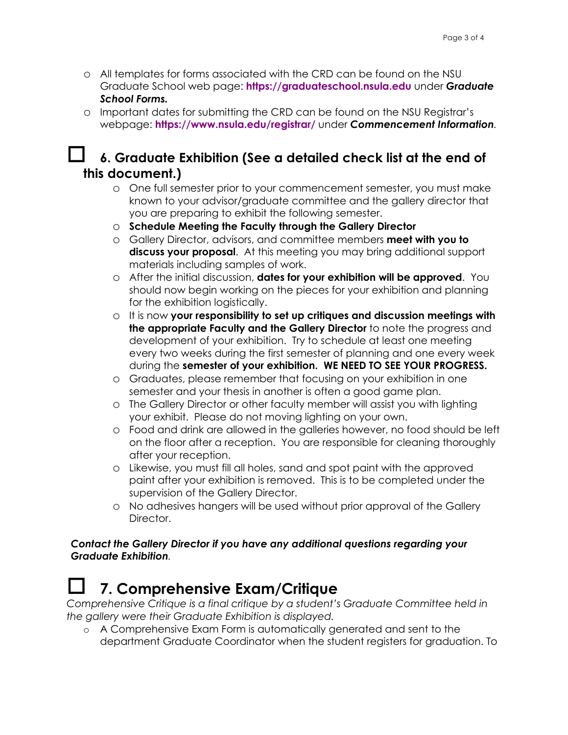- o All templates for forms associated with the CRD can be found on the NSU Graduate School web page: **https://graduateschool.nsula.edu** under *Graduate School Forms.*
- o Important dates for submitting the CRD can be found on the NSU Registrar's webpage: **https://www.nsula.edu/registrar/** under *Commencement Information.*

#### o **6. Graduate Exhibition (See a detailed check list at the end of this document.)**

- o One full semester prior to your commencement semester, you must make known to your advisor/graduate committee and the gallery director that you are preparing to exhibit the following semester.
- o **Schedule Meeting the Faculty through the Gallery Director**
- o Gallery Director, advisors, and committee members **meet with you to discuss your proposal**. At this meeting you may bring additional support materials including samples of work.
- o After the initial discussion, **dates for your exhibition will be approved**. You should now begin working on the pieces for your exhibition and planning for the exhibition logistically.
- o It is now **your responsibility to set up critiques and discussion meetings with the appropriate Faculty and the Gallery Director** to note the progress and development of your exhibition. Try to schedule at least one meeting every two weeks during the first semester of planning and one every week during the **semester of your exhibition. WE NEED TO SEE YOUR PROGRESS.**
- o Graduates, please remember that focusing on your exhibition in one semester and your thesis in another is often a good game plan.
- o The Gallery Director or other faculty member will assist you with lighting your exhibit. Please do not moving lighting on your own.
- o Food and drink are allowed in the galleries however, no food should be left on the floor after a reception. You are responsible for cleaning thoroughly after your reception.
- o Likewise, you must fill all holes, sand and spot paint with the approved paint after your exhibition is removed. This is to be completed under the supervision of the Gallery Director.
- o No adhesives hangers will be used without prior approval of the Gallery Director.

#### *Contact the Gallery Director if you have any additional questions regarding your Graduate Exhibition.*

#### o **7. Comprehensive Exam/Critique**

*Comprehensive Critique is a final critique by a student's Graduate Committee held in the gallery were their Graduate Exhibition is displayed.* 

o A Comprehensive Exam Form is automatically generated and sent to the department Graduate Coordinator when the student registers for graduation. To